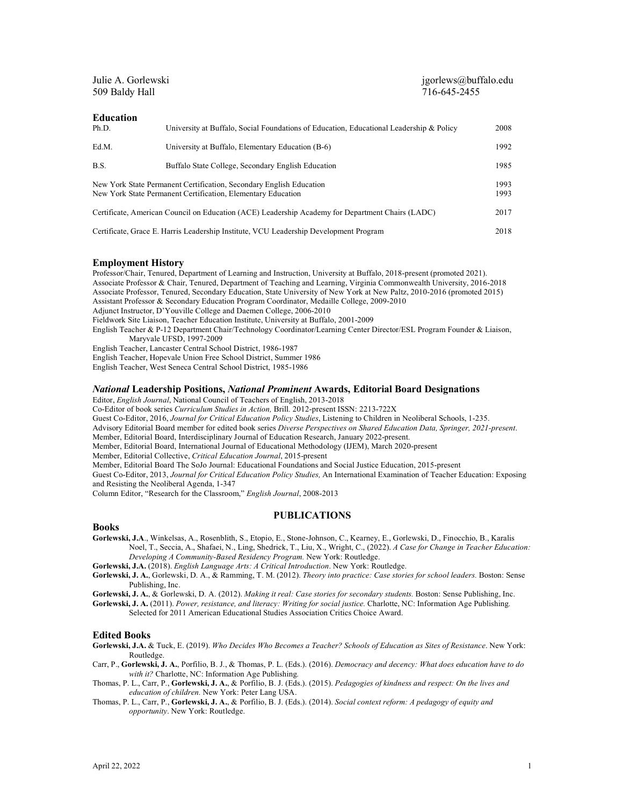| Julie A. Gorlewski<br>509 Baldy Hall                                                                                                |                                                                                         | $j$ gorlews@buffalo.edu<br>716-645-2455 |              |
|-------------------------------------------------------------------------------------------------------------------------------------|-----------------------------------------------------------------------------------------|-----------------------------------------|--------------|
| <b>Education</b><br>Ph.D.                                                                                                           | University at Buffalo, Social Foundations of Education, Educational Leadership & Policy |                                         | 2008         |
| Ed.M.                                                                                                                               | University at Buffalo, Elementary Education (B-6)                                       |                                         | 1992         |
| B.S.                                                                                                                                | Buffalo State College, Secondary English Education                                      |                                         | 1985         |
| New York State Permanent Certification, Secondary English Education<br>New York State Permanent Certification, Elementary Education |                                                                                         |                                         | 1993<br>1993 |
| Certificate, American Council on Education (ACE) Leadership Academy for Department Chairs (LADC)                                    |                                                                                         |                                         | 2017         |
| Certificate, Grace E. Harris Leadership Institute, VCU Leadership Development Program                                               |                                                                                         |                                         | 2018         |

### **Employment History**

Professor/Chair, Tenured, Department of Learning and Instruction, University at Buffalo, 2018-present (promoted 2021). Associate Professor & Chair, Tenured, Department of Teaching and Learning, Virginia Commonwealth University, 2016-2018 Associate Professor, Tenured, Secondary Education, State University of New York at New Paltz, 2010-2016 (promoted 2015) Assistant Professor & Secondary Education Program Coordinator, Medaille College, 2009-2010 Adjunct Instructor, D'Youville College and Daemen College, 2006-2010 Fieldwork Site Liaison, Teacher Education Institute, University at Buffalo, 2001-2009 English Teacher & P-12 Department Chair/Technology Coordinator/Learning Center Director/ESL Program Founder & Liaison, Maryvale UFSD, 1997-2009 English Teacher, Lancaster Central School District, 1986-1987 English Teacher, Hopevale Union Free School District, Summer 1986 English Teacher, West Seneca Central School District, 1985-1986

# *National* **Leadership Positions,** *National Prominent* **Awards, Editorial Board Designations**

Editor, *English Journal*, National Council of Teachers of English, 2013-2018

Co-Editor of book series *Curriculum Studies in Action,* Brill*.* 2012-present ISSN: 2213-722X

Guest Co-Editor, 2016, *Journal for Critical Education Policy Studies*, Listening to Children in Neoliberal Schools, 1-235.

Advisory Editorial Board member for edited book series *Diverse Perspectives on Shared Education Data, Springer, 2021-present*. Member, Editorial Board, Interdisciplinary Journal of Education Research, January 2022-present.

Member, Editorial Board, International Journal of Educational Methodology (IJEM), March 2020-present

Member, Editorial Collective, *Critical Education Journal*, 2015-present

Member, Editorial Board The SoJo Journal: Educational Foundations and Social Justice Education, 2015-present

Guest Co-Editor, 2013, *Journal for Critical Education Policy Studies,* An International Examination of Teacher Education: Exposing and Resisting the Neoliberal Agenda, 1-347

Column Editor, "Research for the Classroom," *English Journal*, 2008-2013

### **PUBLICATIONS**

#### **Books**

**Gorlewski, J.A**., Winkelsas, A., Rosenblith, S., Etopio, E., Stone-Johnson, C., Kearney, E., Gorlewski, D., Finocchio, B., Karalis Noel, T., Seccia, A., Shafaei, N., Ling, Shedrick, T., Liu, X., Wright, C., (2022). *A Case for Change in Teacher Education: Developing A Community-Based Residency Program.* New York: Routledge.

**Gorlewski, J.A.** (2018). *English Language Arts: A Critical Introduction*. New York: Routledge.

**Gorlewski, J. A.**, Gorlewski, D. A., & Ramming, T. M. (2012). *Theory into practice: Case stories for school leaders.* Boston: Sense Publishing, Inc.

**Gorlewski, J. A.**, & Gorlewski, D. A. (2012). *Making it real: Case stories for secondary students.* Boston: Sense Publishing, Inc.

**Gorlewski, J. A.** (2011). *Power, resistance, and literacy: Writing for social justice.* Charlotte, NC: Information Age Publishing*.* Selected for 2011 American Educational Studies Association Critics Choice Award.

### **Edited Books**

**Gorlewski, J.A.** & Tuck, E. (2019). *Who Decides Who Becomes a Teacher? Schools of Education as Sites of Resistance*. New York: Routledge.

Carr, P., **Gorlewski, J. A.**, Porfilio, B. J., & Thomas, P. L. (Eds.). (2016). *Democracy and decency: What does education have to do with it?* Charlotte, NC: Information Age Publishing*.*

Thomas, P. L., Carr, P., **Gorlewski, J. A.**, & Porfilio, B. J. (Eds.). (2015). *Pedagogies of kindness and respect: On the lives and education of children.* New York: Peter Lang USA.

Thomas, P. L., Carr, P., **Gorlewski, J. A.**, & Porfilio, B. J. (Eds.). (2014). *Social context reform: A pedagogy of equity and opportunity*. New York: Routledge.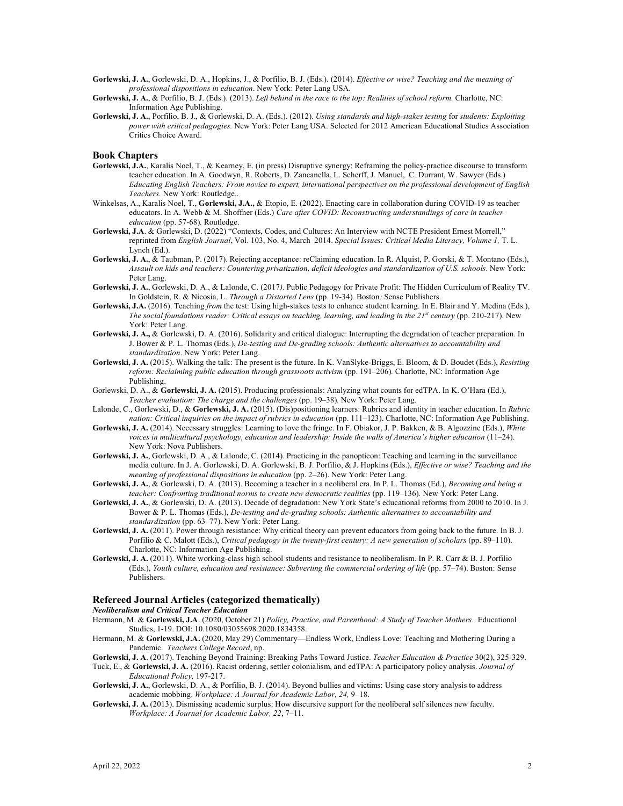- **Gorlewski, J. A.**, Gorlewski, D. A., Hopkins, J., & Porfilio, B. J. (Eds.). (2014). *Effective or wise? Teaching and the meaning of professional dispositions in education*. New York: Peter Lang USA.
- **Gorlewski, J. A.**, & Porfilio, B. J. (Eds.). (2013). *Left behind in the race to the top: Realities of school reform.* Charlotte, NC: Information Age Publishing.
- **Gorlewski, J. A.**, Porfilio, B. J., & Gorlewski, D. A. (Eds.). (2012). *Using standards and high-stakes testing* for *students: Exploiting power with critical pedagogies.* New York: Peter Lang USA. Selected for 2012 American Educational Studies Association Critics Choice Award.

### **Book Chapters**

- **Gorlewski, J.A.**, Karalis Noel, T., & Kearney, E. (in press) Disruptive synergy: Reframing the policy-practice discourse to transform teacher education. In A. Goodwyn, R. Roberts, D. Zancanella, L. Scherff, J. Manuel, C. Durrant, W. Sawyer (Eds.) *Educating English Teachers: From novice to expert, international perspectives on the professional development of English Teachers.* New York: Routledge..
- Winkelsas, A., Karalis Noel, T., **Gorlewski, J.A.,** & Etopio, E. (2022). Enacting care in collaboration during COVID-19 as teacher educators. In A. Webb & M. Shoffner (Eds.) *Care after COVID: Reconstructing understandings of care in teacher education* (pp. 57-68)*.* Routledge.
- **Gorlewski, J.A**. & Gorlewski, D. (2022) "Contexts, Codes, and Cultures: An Interview with NCTE President Ernest Morrell," reprinted from *English Journal*, Vol. 103, No. 4, March 2014. *Special Issues: Critical Media Literacy, Volume 1,* T. L. Lynch  $(\text{Ed.})$ .
- **Gorlewski, J. A.**, & Taubman, P. (2017). Rejecting acceptance: reClaiming education. In R. Alquist, P. Gorski, & T. Montano (Eds.), *Assault on kids and teachers: Countering privatization, deficit ideologies and standardization of U.S. schools*. New York: Peter Lang.
- **Gorlewski, J. A.**, Gorlewski, D. A., & Lalonde, C. (2017*).* Public Pedagogy for Private Profit: The Hidden Curriculum of Reality TV*.* In Goldstein, R. & Nicosia, L. *Through a Distorted Lens* (pp. 19-34)*.* Boston*:* Sense Publishers.
- **Gorlewski, J.A.** (2016). Teaching *from* the test: Using high-stakes tests to enhance student learning. In E. Blair and Y. Medina (Eds.), *The social foundations reader: Critical essays on teaching, learning, and leading in the 21st century* (pp. 210-217). New York: Peter Lang.
- **Gorlewski, J. A.,** & Gorlewski, D. A. (2016). Solidarity and critical dialogue: Interrupting the degradation of teacher preparation. In J. Bower & P. L. Thomas (Eds.), *De-testing and De-grading schools: Authentic alternatives to accountability and standardization*. New York: Peter Lang.
- **Gorlewski, J. A.** (2015). Walking the talk: The present is the future. In K. VanSlyke-Briggs, E. Bloom, & D. Boudet (Eds.), *Resisting reform: Reclaiming public education through grassroots activism (pp. 191-206). Charlotte, NC: Information Age* Publishing.
- Gorlewski, D. A., & **Gorlewski, J. A.** (2015). Producing professionals: Analyzing what counts for edTPA. In K. O'Hara (Ed.), *Teacher evaluation: The charge and the challenges* (pp. 19–38)*.* New York: Peter Lang.
- Lalonde, C., Gorlewski, D., & **Gorlewski, J. A.** (2015). (Dis)positioning learners: Rubrics and identity in teacher education. In *Rubric nation: Critical inquiries on the impact of rubrics in education* (pp. 111-123). Charlotte, NC: Information Age Publishing.
- **Gorlewski, J. A.** (2014). Necessary struggles: Learning to love the fringe. In F. Obiakor, J. P. Bakken, & B. Algozzine (Eds.), *White voices in multicultural psychology, education and leadership: Inside the walls of America's higher education* (11–24). New York: Nova Publishers.
- **Gorlewski, J. A.**, Gorlewski, D. A., & Lalonde, C. (2014). Practicing in the panopticon: Teaching and learning in the surveillance media culture. In J. A. Gorlewski, D. A. Gorlewski, B. J. Porfilio, & J. Hopkins (Eds.), *Effective or wise? Teaching and the meaning of professional dispositions in education* (pp. 2–26). New York: Peter Lang.
- **Gorlewski, J. A.**, & Gorlewski, D. A. (2013). Becoming a teacher in a neoliberal era. In P. L. Thomas (Ed.), *Becoming and being a teacher: Confronting traditional norms to create new democratic realities* (pp. 119–136)*.* New York: Peter Lang.
- **Gorlewski, J. A.**, & Gorlewski, D. A. (2013). Decade of degradation: New York State's educational reforms from 2000 to 2010. In J. Bower & P. L. Thomas (Eds.), *De-testing and de-grading schools: Authentic alternatives to accountability and standardization* (pp. 63–77). New York: Peter Lang.
- **Gorlewski, J. A.** (2011). Power through resistance: Why critical theory can prevent educators from going back to the future. In B. J. Porfilio & C. Malott (Eds.), *Critical pedagogy in the twenty-first century: A new generation of scholars* (pp. 89–110). Charlotte, NC: Information Age Publishing.
- **Gorlewski, J. A.** (2011). White working-class high school students and resistance to neoliberalism. In P. R. Carr & B. J. Porfilio (Eds.), *Youth culture, education and resistance: Subverting the commercial ordering of life* (pp. 57–74). Boston: Sense Publishers.

### **Refereed Journal Articles (categorized thematically)**

### *Neoliberalism and Critical Teacher Education*

- Hermann, M. & **Gorlewski, J.A**. (2020, October 21) *Policy, Practice, and Parenthood: A Study of Teacher Mothers*. Educational Studies, 1-19. DOI: 10.1080/03055698.2020.1834358.
- Hermann, M. & **Gorlewski, J.A.** (2020, May 29) Commentary—Endless Work, Endless Love: Teaching and Mothering During a Pandemic. *Teachers College Record*, np.
- **Gorlewski, J. A**. (2017). Teaching Beyond Training: Breaking Paths Toward Justice. *Teacher Education & Practice* 30(2), 325-329. Tuck, E., & **Gorlewski, J. A.** (2016). Racist ordering, settler colonialism, and edTPA: A participatory policy analysis. *Journal of Educational Policy,* 197-217.
- **Gorlewski, J. A.**, Gorlewski, D. A., & Porfilio, B. J. (2014). Beyond bullies and victims: Using case story analysis to address academic mobbing. *Workplace: A Journal for Academic Labor, 24,* 9–18.
- **Gorlewski, J. A.** (2013). Dismissing academic surplus: How discursive support for the neoliberal self silences new faculty. *Workplace: A Journal for Academic Labor, 22*, 7–11.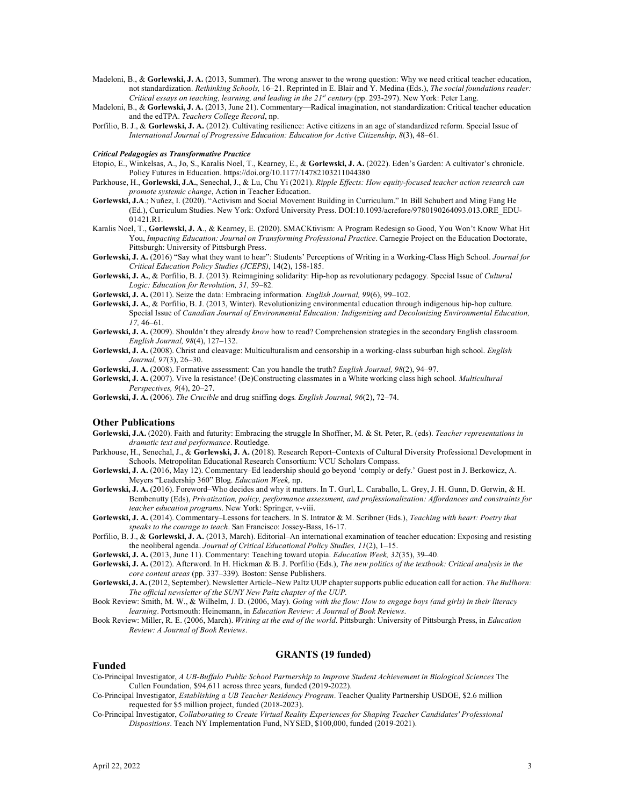- Madeloni, B., & **Gorlewski, J. A.** (2013, Summer). The wrong answer to the wrong question: Why we need critical teacher education, not standardization. *Rethinking Schools,* 16–21. Reprinted in E. Blair and Y. Medina (Eds.), *The social foundations reader: Critical essays on teaching, learning, and leading in the 21st century* (pp. 293-297). New York: Peter Lang.
- Madeloni, B., & **Gorlewski, J. A.** (2013, June 21). Commentary—Radical imagination, not standardization: Critical teacher education and the edTPA. *Teachers College Record*, np.
- Porfilio, B. J., & **Gorlewski, J. A.** (2012). Cultivating resilience: Active citizens in an age of standardized reform. Special Issue of *International Journal of Progressive Education: Education for Active Citizenship, 8*(3), 48–61.

#### *Critical Pedagogies as Transformative Practice*

- Etopio, E., Winkelsas, A., Jo, S., Karalis Noel, T., Kearney, E., & **Gorlewski, J. A.** (2022). Eden's Garden: A cultivator's chronicle. Policy Futures in Education. https://doi.org/10.1177/14782103211044380
- Parkhouse, H., **Gorlewski, J.A.**, Senechal, J., & Lu, Chu Yi (2021). *Ripple Effects: How equity-focused teacher action research can promote systemic change*, Action in Teacher Education.
- **Gorlewski, J.A**.; Nuñez, I. (2020). "Activism and Social Movement Building in Curriculum." In Bill Schubert and Ming Fang He (Ed.), Curriculum Studies. New York: Oxford University Press. DOI:10.1093/acrefore/9780190264093.013.ORE\_EDU-01421.R1.
- Karalis Noel, T., **Gorlewski, J. A**., & Kearney, E. (2020). SMACKtivism: A Program Redesign so Good, You Won't Know What Hit You, *Impacting Education: Journal on Transforming Professional Practice*. Carnegie Project on the Education Doctorate, Pittsburgh: University of Pittsburgh Press.
- **Gorlewski, J. A.** (2016) "Say what they want to hear": Students' Perceptions of Writing in a Working-Class High School. *Journal for Critical Education Policy Studies (JCEPS)*, 14(2), 158-185.
- **Gorlewski, J. A.**, & Porfilio, B. J. (2013). Reimagining solidarity: Hip-hop as revolutionary pedagogy*.* Special Issue of *Cultural Logic: Education for Revolution, 31,* 59–82*.*
- **Gorlewski, J. A.** (2011). Seize the data: Embracing information*. English Journal, 99*(6), 99–102.
- **Gorlewski, J. A.**, & Porfilio, B. J. (2013, Winter). Revolutionizing environmental education through indigenous hip-hop culture*.* Special Issue of *Canadian Journal of Environmental Education: Indigenizing and Decolonizing Environmental Education, 17,* 46–61.
- **Gorlewski, J. A.** (2009). Shouldn't they already *know* how to read? Comprehension strategies in the secondary English classroom. *English Journal, 98*(4), 127–132.
- **Gorlewski, J. A.** (2008). Christ and cleavage: Multiculturalism and censorship in a working-class suburban high school. *English Journal, 97*(3), 26–30.

**Gorlewski, J. A.** (2008). Formative assessment: Can you handle the truth? *English Journal, 98*(2), 94–97.

- **Gorlewski, J. A.** (2007). Vive la resistance! (De)Constructing classmates in a White working class high school*. Multicultural Perspectives, 9*(4), 20–27.
- **Gorlewski, J. A.** (2006). *The Crucible* and drug sniffing dogs*. English Journal, 96*(2), 72–74.

#### **Other Publications**

- **Gorlewski, J.A.** (2020). Faith and futurity: Embracing the struggle In Shoffner, M. & St. Peter, R. (eds). *Teacher representations in dramatic text and performance*. Routledge.
- Parkhouse, H., Senechal, J., & **Gorlewski, J. A.** (2018). Research Report–Contexts of Cultural Diversity Professional Development in Schools. Metropolitan Educational Research Consortium: VCU Scholars Compass.
- **Gorlewski, J. A.** (2016, May 12). Commentary–Ed leadership should go beyond 'comply or defy.' Guest post in J. Berkowicz, A. Meyers "Leadership 360" Blog. *Education Week,* np.
- **Gorlewski, J. A.** (2016). Foreword–Who decides and why it matters. In T. Gurl, L. Caraballo, L. Grey, J. H. Gunn, D. Gerwin, & H. Bembenutty (Eds), *Privatization, policy, performance assessment, and professionalization: Affordances and constraints for teacher education programs*. New York: Springer, v-viii.
- **Gorlewski, J. A.** (2014). Commentary–Lessons for teachers. In S. Intrator & M. Scribner (Eds.), *Teaching with heart: Poetry that speaks to the courage to teach*. San Francisco: Jossey-Bass, 16-17.
- Porfilio, B. J., & **Gorlewski, J. A.** (2013, March). Editorial–An international examination of teacher education: Exposing and resisting the neoliberal agenda. *Journal of Critical Educational Policy Studies, 11*(2), 1–15.
- **Gorlewski, J. A.** (2013, June 11). Commentary: Teaching toward utopia. *Education Week, 32*(35), 39–40.
- **Gorlewski, J. A.** (2012). Afterword. In H. Hickman & B. J. Porfilio (Eds.), *The new politics of the textbook: Critical analysis in the core content areas* (pp. 337–339)*.* Boston: Sense Publishers.
- **Gorlewski, J. A.** (2012, September). Newsletter Article–New Paltz UUP chapter supports public education call for action. *The Bullhorn: The official newsletter of the SUNY New Paltz chapter of the UUP.*
- Book Review: Smith, M. W., & Wilhelm, J. D. (2006, May). *Going with the flow: How to engage boys (and girls) in their literacy learning*. Portsmouth: Heinemann, in *Education Review: A Journal of Book Reviews*.
- Book Review: Miller, R. E. (2006, March). *Writing at the end of the world*. Pittsburgh: University of Pittsburgh Press, in *Education Review: A Journal of Book Reviews*.

## **GRANTS (19 funded)**

### **Funded**

- Co-Principal Investigator, *A UB-Buffalo Public School Partnership to Improve Student Achievement in Biological Sciences* The Cullen Foundation, \$94,611 across three years, funded (2019-2022).
- Co-Principal Investigator, *Establishing a UB Teacher Residency Program*. Teacher Quality Partnership USDOE, \$2.6 million requested for \$5 million project, funded (2018-2023).
- Co-Principal Investigator, *Collaborating to Create Virtual Reality Experiences for Shaping Teacher Candidates' Professional Dispositions*. Teach NY Implementation Fund, NYSED, \$100,000, funded (2019-2021).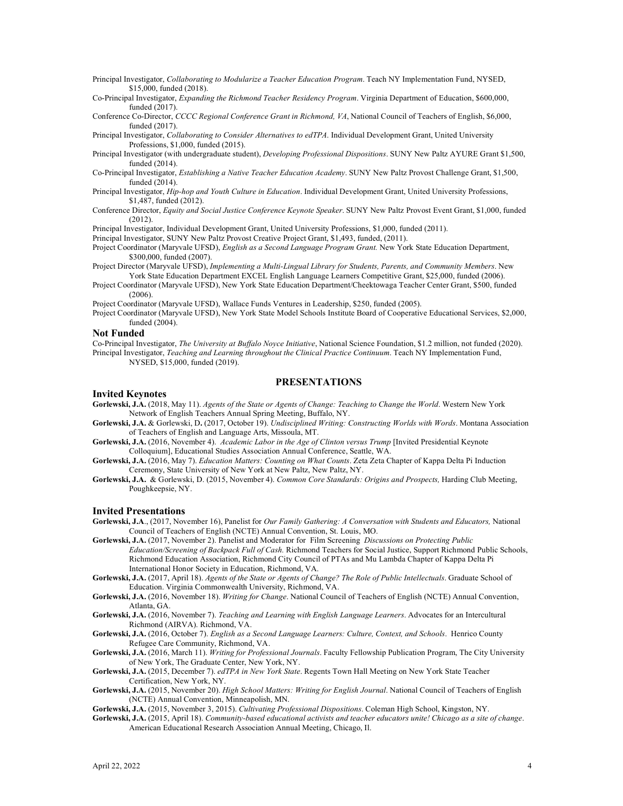Principal Investigator, *Collaborating to Modularize a Teacher Education Program*. Teach NY Implementation Fund, NYSED, \$15,000, funded (2018).

Co-Principal Investigator, *Expanding the Richmond Teacher Residency Program*. Virginia Department of Education, \$600,000, funded (2017).

Conference Co-Director, *CCCC Regional Conference Grant in Richmond, VA*, National Council of Teachers of English, \$6,000, funded (2017).

Principal Investigator, *Collaborating to Consider Alternatives to edTPA*. Individual Development Grant, United University Professions, \$1,000, funded (2015).

Principal Investigator (with undergraduate student), *Developing Professional Dispositions*. SUNY New Paltz AYURE Grant \$1,500, funded (2014).

Co-Principal Investigator, *Establishing a Native Teacher Education Academy*. SUNY New Paltz Provost Challenge Grant, \$1,500, funded (2014).

Principal Investigator, *Hip-hop and Youth Culture in Education*. Individual Development Grant, United University Professions, \$1,487, funded (2012).

- Conference Director, *Equity and Social Justice Conference Keynote Speaker*. SUNY New Paltz Provost Event Grant, \$1,000, funded (2012).
- Principal Investigator, Individual Development Grant, United University Professions, \$1,000, funded (2011).

Principal Investigator, SUNY New Paltz Provost Creative Project Grant, \$1,493, funded, (2011).

Project Coordinator (Maryvale UFSD), *English as a Second Language Program Grant.* New York State Education Department, \$300,000, funded (2007).

Project Director (Maryvale UFSD), *Implementing a Multi-Lingual Library for Students, Parents, and Community Members*. New York State Education Department EXCEL English Language Learners Competitive Grant, \$25,000, funded (2006).

Project Coordinator (Maryvale UFSD), New York State Education Department/Cheektowaga Teacher Center Grant, \$500, funded  $(2006)$ 

Project Coordinator (Maryvale UFSD), Wallace Funds Ventures in Leadership, \$250, funded (2005).

Project Coordinator (Maryvale UFSD), New York State Model Schools Institute Board of Cooperative Educational Services, \$2,000, funded (2004).

### **Not Funded**

Co-Principal Investigator, *The University at Buffalo Noyce Initiative*, National Science Foundation, \$1.2 million, not funded (2020). Principal Investigator, *Teaching and Learning throughout the Clinical Practice Continuum*. Teach NY Implementation Fund, NYSED, \$15,000, funded (2019).

### **PRESENTATIONS**

#### **Invited Keynotes**

**Gorlewski, J.A.** (2018, May 11). *Agents of the State or Agents of Change: Teaching to Change the World*. Western New York Network of English Teachers Annual Spring Meeting, Buffalo, NY.

**Gorlewski, J.A.** & Gorlewski, D**.** (2017, October 19). *Undisciplined Writing: Constructing Worlds with Words*. Montana Association of Teachers of English and Language Arts, Missoula, MT.

**Gorlewski, J.A.** (2016, November 4). *Academic Labor in the Age of Clinton versus Trump* [Invited Presidential Keynote Colloquium], Educational Studies Association Annual Conference, Seattle, WA.

**Gorlewski, J.A.** (2016, May 7). *Education Matters: Counting on What Counts*. Zeta Zeta Chapter of Kappa Delta Pi Induction Ceremony, State University of New York at New Paltz, New Paltz, NY.

**Gorlewski, J.A.** & Gorlewski, D. (2015, November 4). *Common Core Standards: Origins and Prospects,* Harding Club Meeting, Poughkeepsie, NY.

#### **Invited Presentations**

**Gorlewski, J.A**., (2017, November 16), Panelist for *Our Family Gathering: A Conversation with Students and Educators,* National Council of Teachers of English (NCTE) Annual Convention, St. Louis, MO.

**Gorlewski, J.A.** (2017, November 2). Panelist and Moderator for Film Screening *Discussions on Protecting Public Education/Screening of Backpack Full of Cash.* Richmond Teachers for Social Justice, Support Richmond Public Schools, Richmond Education Association, Richmond City Council of PTAs and Mu Lambda Chapter of Kappa Delta Pi International Honor Society in Education, Richmond, VA.

**Gorlewski, J.A.** (2017, April 18). *Agents of the State or Agents of Change? The Role of Public Intellectuals*. Graduate School of Education. Virginia Commonwealth University, Richmond, VA.

**Gorlewski, J.A.** (2016, November 18). *Writing for Change*. National Council of Teachers of English (NCTE) Annual Convention, Atlanta, GA.

**Gorlewski, J.A.** (2016, November 7). *Teaching and Learning with English Language Learners*. Advocates for an Intercultural Richmond (AIRVA). Richmond, VA.

**Gorlewski, J.A.** (2016, October 7). *English as a Second Language Learners: Culture, Context, and Schools*. Henrico County Refugee Care Community, Richmond, VA.

**Gorlewski, J.A.** (2016, March 11). *Writing for Professional Journals*. Faculty Fellowship Publication Program, The City University of New York, The Graduate Center, New York, NY.

**Gorlewski, J.A.** (2015, December 7). *edTPA in New York State*. Regents Town Hall Meeting on New York State Teacher Certification, New York, NY.

**Gorlewski, J.A.** (2015, November 20). *High School Matters: Writing for English Journal*. National Council of Teachers of English (NCTE) Annual Convention, Minneapolish, MN.

**Gorlewski, J.A.** (2015, November 3, 2015). *Cultivating Professional Dispositions*. Coleman High School, Kingston, NY.

**Gorlewski, J.A.** (2015, April 18). *Community-based educational activists and teacher educators unite! Chicago as a site of change*. American Educational Research Association Annual Meeting, Chicago, Il.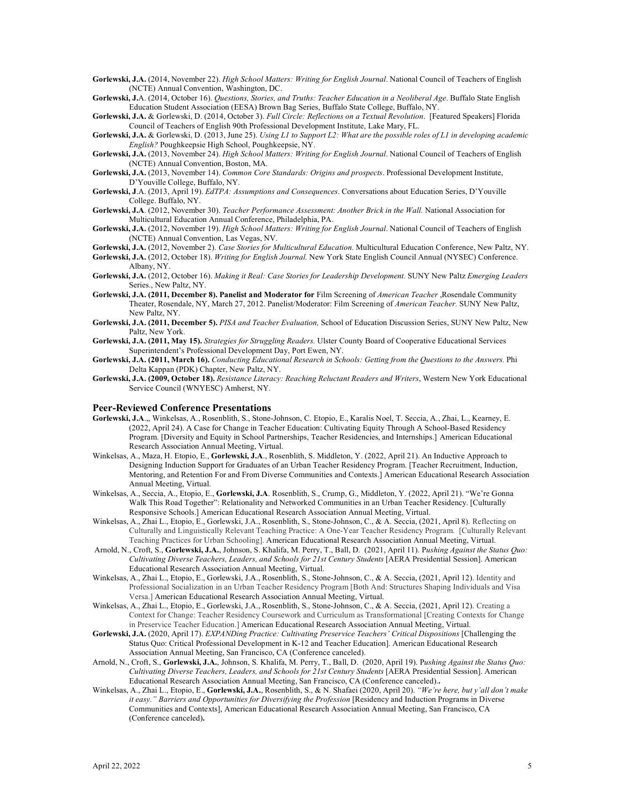**Gorlewski, J.A.** (2014, November 22). *High School Matters: Writing for English Journal*. National Council of Teachers of English (NCTE) Annual Convention, Washington, DC.

**Gorlewski, J.**A. (2014, October 16). *Questions, Stories, and Truths: Teacher Education in a Neoliberal Age*. Buffalo State English Education Student Association (EESA) Brown Bag Series, Buffalo State College, Buffalo, NY.

**Gorlewski, J.A.** & Gorlewski, D. (2014, October 3). *Full Circle: Reflections on a Textual Revolution*. [Featured Speakers] Florida Council of Teachers of English 90th Professional Development Institute, Lake Mary, FL.

**Gorlewski, J.A.** & Gorlewski, D. (2013, June 25). *Using L1 to Support L2: What are the possible roles of L1 in developing academic English?* Poughkeepsie High School, Poughkeepsie, NY.

**Gorlewski, J.A.** (2013, November 24). *High School Matters: Writing for English Journal*. National Council of Teachers of English (NCTE) Annual Convention, Boston, MA.

- **Gorlewski, J.A.** (2013, November 14). *Common Core Standards: Origins and prospects*. Professional Development Institute, D'Youville College, Buffalo, NY.
- **Gorlewski, J**.A. (2013, April 19). *EdTPA: Assumptions and Consequences*. Conversations about Education Series, D'Youville College. Buffalo, NY.

**Gorlewski, J.A**. (2012, November 30). *Teacher Performance Assessment: Another Brick in the Wall.* National Association for Multicultural Education Annual Conference, Philadelphia, PA.

**Gorlewski, J.A.** (2012, November 19). *High School Matters: Writing for English Journal*. National Council of Teachers of English (NCTE) Annual Convention, Las Vegas, NV.

**Gorlewski, J.A.** (2012, November 2). *Case Stories for Multicultural Education.* Multicultural Education Conference, New Paltz, NY.

- **Gorlewski, J.A.** (2012, October 18). *Writing for English Journal.* New York State English Council Annual (NYSEC) Conference. Albany, NY.
- **Gorlewski, J.A.** (2012, October 16). *Making it Real: Case Stories for Leadership Development.* SUNY New Paltz *Emerging Leaders*  Series., New Paltz, NY.
- **Gorlewski, J.A. (2011, December 8). Panelist and Moderator for** Film Screening of *American Teacher* ,Rosendale Community Theater, Rosendale, NY, March 27, 2012. Panelist/Moderator: Film Screening of *American Teacher.* SUNY New Paltz, New Paltz, NY.
- **Gorlewski, J.A. (2011, December 5).** *PISA and Teacher Evaluation,* School of Education Discussion Series, SUNY New Paltz, New Paltz, New York.
- **Gorlewski, J.A. (2011, May 15).** *Strategies for Struggling Readers.* Ulster County Board of Cooperative Educational Services Superintendent's Professional Development Day, Port Ewen, NY.
- **Gorlewski, J.A. (2011, March 16).** *Conducting Educational Research in Schools: Getting from the Questions to the Answers.* Phi Delta Kappan (PDK) Chapter, New Paltz, NY.
- **Gorlewski, J.A. (2009, October 18).** *Resistance Literacy: Reaching Reluctant Readers and Writers*, Western New York Educational Service Council (WNYESC) Amherst, NY.

### **Peer-Reviewed Conference Presentations**

- **Gorlewski, J.A**.,, Winkelsas, A., Rosenblith, S., Stone-Johnson, C. Etopio, E., Karalis Noel, T. Seccia, A., Zhai, L., Kearney, E. (2022, April 24). A Case for Change in Teacher Education: Cultivating Equity Through A School-Based Residency Program. [Diversity and Equity in School Partnerships, Teacher Residencies, and Internships.] American Educational Research Association Annual Meeting, Virtual.
- Winkelsas, A., Maza, H. Etopio, E., **Gorlewski, J.A**., Rosenblith, S. Middleton, Y. (2022, April 21). An Inductive Approach to Designing Induction Support for Graduates of an Urban Teacher Residency Program. [Teacher Recruitment, Induction, Mentoring, and Retention For and From Diverse Communities and Contexts.] American Educational Research Association Annual Meeting, Virtual.
- Winkelsas, A., Seccia, A., Etopio, E., **Gorlewski, J.A**. Rosenblith, S., Crump, G., Middleton, Y. (2022, April 21). "We're Gonna Walk This Road Together": Relationality and Networked Communities in an Urban Teacher Residency. [Culturally Responsive Schools.] American Educational Research Association Annual Meeting, Virtual.
- Winkelsas, A., Zhai L., Etopio, E., Gorlewski, J.A., Rosenblith, S., Stone-Johnson, C., & A. Seccia, (2021, April 8). Reflecting on Culturally and Linguistically Relevant Teaching Practice: A One-Year Teacher Residency Program. [Culturally Relevant Teaching Practices for Urban Schooling]. American Educational Research Association Annual Meeting, Virtual.
- Arnold, N., Croft, S., **Gorlewski, J.A.**, Johnson, S. Khalifa, M. Perry, T., Ball, D. (2021, April 11). P*ushing Against the Status Quo: Cultivating Diverse Teachers, Leaders, and Schools for 21st Century Students* [AERA Presidential Session]. American Educational Research Association Annual Meeting, Virtual.
- Winkelsas, A., Zhai L., Etopio, E., Gorlewski, J.A., Rosenblith, S., Stone-Johnson, C., & A. Seccia, (2021, April 12). Identity and Professional Socialization in an Urban Teacher Residency Program [Both And: Structures Shaping Individuals and Visa Versa.] American Educational Research Association Annual Meeting, Virtual.
- Winkelsas, A., Zhai L., Etopio, E., Gorlewski, J.A., Rosenblith, S., Stone-Johnson, C., & A. Seccia, (2021, April 12). Creating a Context for Change: Teacher Residency Coursework and Curriculum as Transformational [Creating Contexts for Change in Preservice Teacher Education.] American Educational Research Association Annual Meeting, Virtual.
- **Gorlewski, J.A.** (2020, April 17). *EXPANDing Practice: Cultivating Preservice Teachers' Critical Dispositions* [Challenging the Status Quo: Critical Professional Development in K-12 and Teacher Education]. American Educational Research Association Annual Meeting, San Francisco, CA (Conference canceled).
- Arnold, N., Croft, S., **Gorlewski, J.A.**, Johnson, S. Khalifa, M. Perry, T., Ball, D. (2020, April 19). P*ushing Against the Status Quo: Cultivating Diverse Teachers, Leaders, and Schools for 21st Century Students* [AERA Presidential Session]. American Educational Research Association Annual Meeting, San Francisco, CA (Conference canceled).**.**
- Winkelsas, A., Zhai L., Etopio, E., **Gorlewski, J.A.**, Rosenblith, S., & N. Shafaei (2020, April 20). *"We're here, but y'all don't make it easy." Barriers and Opportunities for Diversifying the Profession* [Residency and Induction Programs in Diverse Communities and Contexts], American Educational Research Association Annual Meeting, San Francisco, CA (Conference canceled)**.**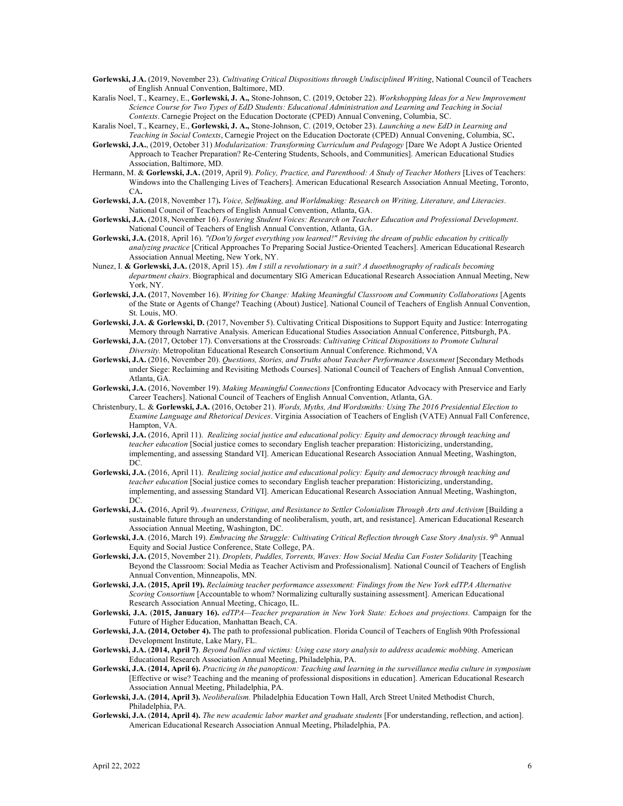- **Gorlewski, J**.**A.** (2019, November 23). *Cultivating Critical Dispositions through Undisciplined Writing*, National Council of Teachers of English Annual Convention, Baltimore, MD.
- Karalis Noel, T., Kearney, E., **Gorlewski, J. A.,** Stone-Johnson, C. (2019, October 22). *Workshopping Ideas for a New Improvement Science Course for Two Types of EdD Students: Educational Administration and Learning and Teaching in Social Contexts*. Carnegie Project on the Education Doctorate (CPED) Annual Convening, Columbia, SC.
- Karalis Noel, T., Kearney, E., **Gorlewski, J. A.,** Stone-Johnson, C. (2019, October 23). *Launching a new EdD in Learning and Teaching in Social Contexts*, Carnegie Project on the Education Doctorate (CPED) Annual Convening, Columbia, SC**.**
- **Gorlewski, J.A.**, (2019, October 31) *Modularization: Transforming Curriculum and Pedagogy* [Dare We Adopt A Justice Oriented Approach to Teacher Preparation? Re-Centering Students, Schools, and Communities]. American Educational Studies Association, Baltimore, MD.
- Hermann, M. & **Gorlewski, J.A.** (2019, April 9). *Policy, Practice, and Parenthood: A Study of Teacher Mothers* [Lives of Teachers: Windows into the Challenging Lives of Teachers]. American Educational Research Association Annual Meeting, Toronto, CA**.**
- **Gorlewski, J.A. (**2018, November 17)**.** *Voice, Selfmaking, and Worldmaking: Research on Writing, Literature, and Literacies*. National Council of Teachers of English Annual Convention, Atlanta, GA.
- **Gorlewski, J.A.** (2018, November 16). *Fostering Student Voices: Research on Teacher Education and Professional Development*. National Council of Teachers of English Annual Convention, Atlanta, GA.
- **Gorlewski, J.A. (**2018, April 16). *"(Don't) forget everything you learned!" Reviving the dream of public education by critically analyzing practice* [Critical Approaches To Preparing Social Justice-Oriented Teachers]. American Educational Research Association Annual Meeting, New York, NY.
- Nunez, I. **& Gorlewski, J.A.** (2018, April 15). *Am I still a revolutionary in a suit? A duoethnography of radicals becoming department chairs*. Biographical and documentary SIG American Educational Research Association Annual Meeting, New York, NY.
- **Gorlewski, J.A. (**2017, November 16). *Writing for Change: Making Meaningful Classroom and Community Collaborations* [Agents of the State or Agents of Change? Teaching (About) Justice]. National Council of Teachers of English Annual Convention, St. Louis, MO.
- **Gorlewski, J.A. & Gorlewski, D.** (2017, November 5). Cultivating Critical Dispositions to Support Equity and Justice: Interrogating Memory through Narrative Analysis. American Educational Studies Association Annual Conference, Pittsburgh, PA.
- **Gorlewski, J.A.** (2017, October 17). Conversations at the Crossroads: *Cultivating Critical Dispositions to Promote Cultural Diversity.* Metropolitan Educational Research Consortium Annual Conference. Richmond, VA
- **Gorlewski, J.A.** (2016, November 20). *Questions, Stories, and Truths about Teacher Performance Assessment* [Secondary Methods under Siege: Reclaiming and Revisiting Methods Courses]. National Council of Teachers of English Annual Convention, Atlanta, GA.
- **Gorlewski, J.A.** (2016, November 19). *Making Meaningful Connections* [Confronting Educator Advocacy with Preservice and Early Career Teachers]. National Council of Teachers of English Annual Convention, Atlanta, GA.
- Christenbury, L. & **Gorlewski, J.A.** (2016, October 21). *Words, Myths, And Wordsmiths: Using The 2016 Presidential Election to Examine Language and Rhetorical Devices*. Virginia Association of Teachers of English (VATE) Annual Fall Conference, Hampton, VA.
- **Gorlewski, J.A.** (2016, April 11). *Realizing social justice and educational policy: Equity and democracy through teaching and teacher education* [Social justice comes to secondary English teacher preparation: Historicizing, understanding, implementing, and assessing Standard VI]. American Educational Research Association Annual Meeting, Washington, DC.
- **Gorlewski, J.A.** (2016, April 11). *Realizing social justice and educational policy: Equity and democracy through teaching and teacher education* [Social justice comes to secondary English teacher preparation: Historicizing, understanding, implementing, and assessing Standard VI]. American Educational Research Association Annual Meeting, Washington, DC.
- **Gorlewski, J.A. (**2016, April 9). *Awareness, Critique, and Resistance to Settler Colonialism Through Arts and Activism* [Building a sustainable future through an understanding of neoliberalism, youth, art, and resistance]. American Educational Research Association Annual Meeting, Washington, DC.
- **Gorlewski, J.A**. (2016, March 19). *Embracing the Struggle: Cultivating Critical Reflection through Case Story Analysis*. 9th Annual Equity and Social Justice Conference, State College, PA.
- **Gorlewski, J.A. (**2015, November 21). *Droplets, Puddles, Torrents, Waves: How Social Media Can Foster Solidarity* [Teaching Beyond the Classroom: Social Media as Teacher Activism and Professionalism]. National Council of Teachers of English Annual Convention, Minneapolis, MN.
- **Gorlewski, J.A.** (**2015, April 19).** *Reclaiming teacher performance assessment: Findings from the New York edTPA Alternative Scoring Consortium* [Accountable to whom? Normalizing culturally sustaining assessment]. American Educational Research Association Annual Meeting, Chicago, IL.
- **Gorlewski, J.A.** (**2015, January 16).** *edTPA—Teacher preparation in New York State: Echoes and projections.* Campaign for the Future of Higher Education, Manhattan Beach, CA.
- **Gorlewski, J.A. (2014, October 4).** The path to professional publication. Florida Council of Teachers of English 90th Professional Development Institute, Lake Mary, FL.
- **Gorlewski, J.A.** (**2014, April 7)**. *Beyond bullies and victims: Using case story analysis to address academic mobbing*. American Educational Research Association Annual Meeting, Philadelphia, PA.
- **Gorlewski, J.A.** (**2014, April 6).** *Practicing in the panopticon: Teaching and learning in the surveillance media culture in symposium* [Effective or wise? Teaching and the meaning of professional dispositions in education]. American Educational Research Association Annual Meeting, Philadelphia, PA.
- **Gorlewski, J.A.** (**2014, April 3).** *Neoliberalism.* Philadelphia Education Town Hall, Arch Street United Methodist Church, Philadelphia, PA.
- **Gorlewski, J.A.** (**2014, April 4).** *The new academic labor market and graduate students* [For understanding, reflection, and action]. American Educational Research Association Annual Meeting, Philadelphia, PA.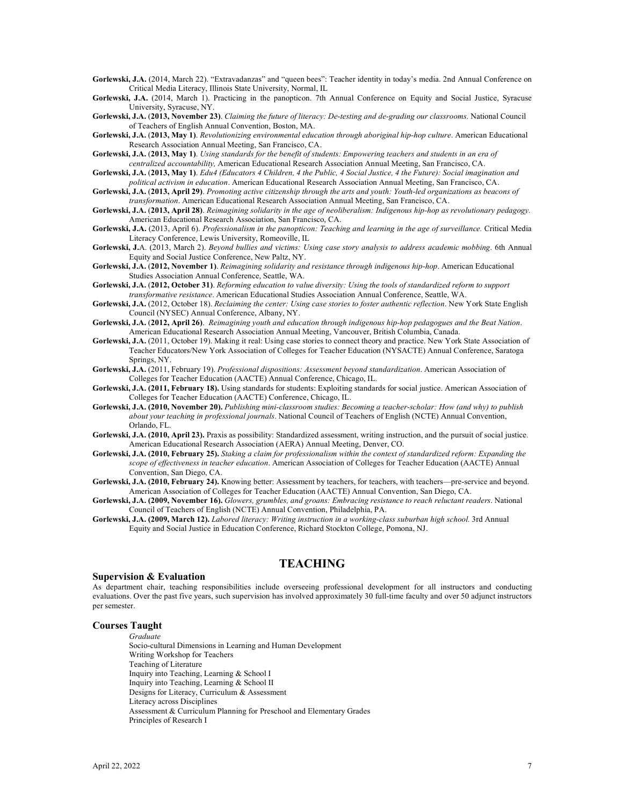**Gorlewski, J.A.** (2014, March 22). "Extravadanzas" and "queen bees": Teacher identity in today's media. 2nd Annual Conference on Critical Media Literacy, Illinois State University, Normal, IL

**Gorlewski, J.A.** (2014, March 1). Practicing in the panopticon. 7th Annual Conference on Equity and Social Justice, Syracuse University, Syracuse, NY.

**Gorlewski, J.A.** (**2013, November 23)**. *Claiming the future of literacy: De-testing and de-grading our classrooms.* National Council of Teachers of English Annual Convention, Boston, MA.

**Gorlewski, J.A.** (**2013, May 1)**. *Revolutionizing environmental education through aboriginal hip-hop culture*. American Educational Research Association Annual Meeting, San Francisco, CA.

**Gorlewski, J.A.** (**2013, May 1)**. *Using standards for the benefit of students: Empowering teachers and students in an era of centralized accountability,* American Educational Research Association Annual Meeting, San Francisco, CA.

**Gorlewski, J.A.** (**2013, May 1)**. *Edu4 (Educators 4 Children, 4 the Public, 4 Social Justice, 4 the Future): Social imagination and political activism in education*. American Educational Research Association Annual Meeting, San Francisco, CA.

**Gorlewski, J.A.** (**2013, April 29)**. *Promoting active citizenship through the arts and youth: Youth-led organizations as beacons of transformation*. American Educational Research Association Annual Meeting, San Francisco, CA.

**Gorlewski, J.A.** (**2013, April 28)**. *Reimagining solidarity in the age of neoliberalism: Indigenous hip-hop as revolutionary pedagogy.* American Educational Research Association, San Francisco, CA.

**Gorlewski, J.A.** (2013, April 6). *Professionalism in the panopticon: Teaching and learning in the age of surveillance.* Critical Media Literacy Conference, Lewis University, Romeoville, IL

**Gorlewski, J.**A. (2013, March 2). *Beyond bullies and victims: Using case story analysis to address academic mobbing*. 6th Annual Equity and Social Justice Conference, New Paltz, NY.

**Gorlewski, J.A.** (**2012, November 1)**. *Reimagining solidarity and resistance through indigenous hip-hop*. American Educational Studies Association Annual Conference, Seattle, WA.

**Gorlewski, J.A.** (**2012, October 31)**. *Reforming education to value diversity: Using the tools of standardized reform to support transformative resistance*. American Educational Studies Association Annual Conference, Seattle, WA.

**Gorlewski, J.A.** (2012, October 18). *Reclaiming the center: Using case stories to foster authentic reflection*. New York State English Council (NYSEC) Annual Conference, Albany, NY.

**Gorlewski, J.A.** (**2012, April 26)**. *Reimagining youth and education through indigenous hip-hop pedagogues and the Beat Nation*. American Educational Research Association Annual Meeting, Vancouver, British Columbia, Canada.

- Gorlewski, J.A. (2011, October 19). Making it real: Using case stories to connect theory and practice. New York State Association of Teacher Educators/New York Association of Colleges for Teacher Education (NYSACTE) Annual Conference, Saratoga Springs, NY.
- **Gorlewski, J.A.** (2011, February 19). *Professional dispositions: Assessment beyond standardization*. American Association of Colleges for Teacher Education (AACTE) Annual Conference, Chicago, IL.

**Gorlewski, J.A. (2011, February 18).** Using standards for students: Exploiting standards for social justice. American Association of Colleges for Teacher Education (AACTE) Conference, Chicago, IL.

**Gorlewski, J.A. (2010, November 20).** *Publishing mini-classroom studies: Becoming a teacher-scholar: How (and why) to publish about your teaching in professional journals*. National Council of Teachers of English (NCTE) Annual Convention, Orlando, FL.

**Gorlewski, J.A. (2010, April 23).** Praxis as possibility: Standardized assessment, writing instruction, and the pursuit of social justice. American Educational Research Association (AERA) Annual Meeting, Denver, CO.

**Gorlewski, J.A. (2010, February 25).** *Staking a claim for professionalism within the context of standardized reform: Expanding the scope of effectiveness in teacher education*. American Association of Colleges for Teacher Education (AACTE) Annual Convention, San Diego, CA.

**Gorlewski, J.A. (2010, February 24).** Knowing better: Assessment by teachers, for teachers, with teachers—pre-service and beyond. American Association of Colleges for Teacher Education (AACTE) Annual Convention, San Diego, CA.

**Gorlewski, J.A. (2009, November 16).** *Glowers, grumbles, and groans: Embracing resistance to reach reluctant readers*. National Council of Teachers of English (NCTE) Annual Convention, Philadelphia, PA.

**Gorlewski, J.A. (2009, March 12).** *Labored literacy: Writing instruction in a working-class suburban high school.* 3rd Annual Equity and Social Justice in Education Conference, Richard Stockton College, Pomona, NJ.

# **TEACHING**

### **Supervision & Evaluation**

As department chair, teaching responsibilities include overseeing professional development for all instructors and conducting evaluations. Over the past five years, such supervision has involved approximately 30 full-time faculty and over 50 adjunct instructors per semester.

# **Courses Taught**

*Graduate* Socio-cultural Dimensions in Learning and Human Development Writing Workshop for Teachers Teaching of Literature Inquiry into Teaching, Learning & School I Inquiry into Teaching, Learning & School II Designs for Literacy, Curriculum & Assessment Literacy across Disciplines Assessment & Curriculum Planning for Preschool and Elementary Grades Principles of Research I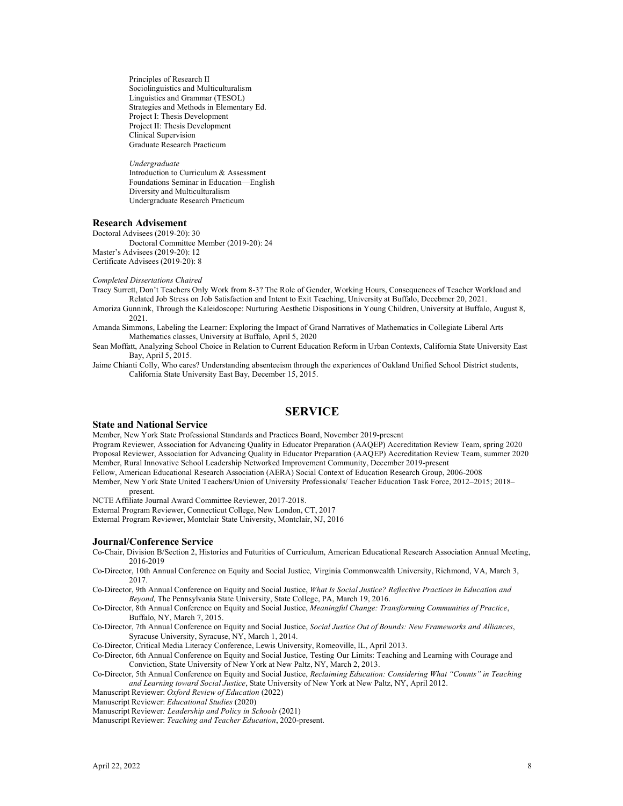Principles of Research II Sociolinguistics and Multiculturalism Linguistics and Grammar (TESOL) Strategies and Methods in Elementary Ed. Project I: Thesis Development Project II: Thesis Development Clinical Supervision Graduate Research Practicum

*Undergraduate* Introduction to Curriculum & Assessment Foundations Seminar in Education—English Diversity and Multiculturalism Undergraduate Research Practicum

#### **Research Advisement**

Doctoral Advisees (2019-20): 30 Doctoral Committee Member (2019-20): 24 Master's Advisees (2019-20): 12 Certificate Advisees (2019-20): 8

*Completed Dissertations Chaired*

Tracy Surrett, Don't Teachers Only Work from 8-3? The Role of Gender, Working Hours, Consequences of Teacher Workload and Related Job Stress on Job Satisfaction and Intent to Exit Teaching, University at Buffalo, Decebmer 20, 2021.

Amoriza Gunnink, Through the Kaleidoscope: Nurturing Aesthetic Dispositions in Young Children, University at Buffalo, August 8, 2021.

Amanda Simmons, Labeling the Learner: Exploring the Impact of Grand Narratives of Mathematics in Collegiate Liberal Arts Mathematics classes, University at Buffalo, April 5, 2020

Sean Moffatt, Analyzing School Choice in Relation to Current Education Reform in Urban Contexts, California State University East Bay, April 5, 2015.

Jaime Chianti Colly, Who cares? Understanding absenteeism through the experiences of Oakland Unified School District students, California State University East Bay, December 15, 2015.

# **SERVICE**

#### **State and National Service**

Member, New York State Professional Standards and Practices Board, November 2019-present

Program Reviewer, Association for Advancing Quality in Educator Preparation (AAQEP) Accreditation Review Team, spring 2020 Proposal Reviewer, Association for Advancing Quality in Educator Preparation (AAQEP) Accreditation Review Team, summer 2020 Member, Rural Innovative School Leadership Networked Improvement Community, December 2019-present

Fellow, American Educational Research Association (AERA) Social Context of Education Research Group, 2006-2008

Member, New York State United Teachers/Union of University Professionals/ Teacher Education Task Force, 2012–2015; 2018– present.

NCTE Affiliate Journal Award Committee Reviewer, 2017-2018.

External Program Reviewer, Connecticut College, New London, CT, 2017

External Program Reviewer, Montclair State University, Montclair, NJ, 2016

### **Journal/Conference Service**

- Co-Chair, Division B/Section 2, Histories and Futurities of Curriculum, American Educational Research Association Annual Meeting, 2016-2019
- Co-Director, 10th Annual Conference on Equity and Social Justice*,* Virginia Commonwealth University, Richmond, VA, March 3, 2017.
- Co-Director, 9th Annual Conference on Equity and Social Justice, *What Is Social Justice? Reflective Practices in Education and Beyond,* The Pennsylvania State University, State College, PA, March 19, 2016.

Co-Director, 8th Annual Conference on Equity and Social Justice, *Meaningful Change: Transforming Communities of Practice*, Buffalo, NY, March 7, 2015.

Co-Director, 7th Annual Conference on Equity and Social Justice, *Social Justice Out of Bounds: New Frameworks and Alliances*, Syracuse University, Syracuse, NY, March 1, 2014.

Co-Director, Critical Media Literacy Conference, Lewis University, Romeoville, IL, April 2013.

- Co-Director, 6th Annual Conference on Equity and Social Justice, Testing Our Limits: Teaching and Learning with Courage and Conviction, State University of New York at New Paltz, NY, March 2, 2013.
- Co-Director, 5th Annual Conference on Equity and Social Justice, *Reclaiming Education: Considering What "Counts" in Teaching and Learning toward Social Justice*, State University of New York at New Paltz, NY, April 2012.

Manuscript Reviewer: *Oxford Review of Education* (2022)

Manuscript Reviewer: *Educational Studies* (2020)

Manuscript Reviewer*: Leadership and Policy in Schools* (2021)

Manuscript Reviewer: *Teaching and Teacher Education*, 2020-present.